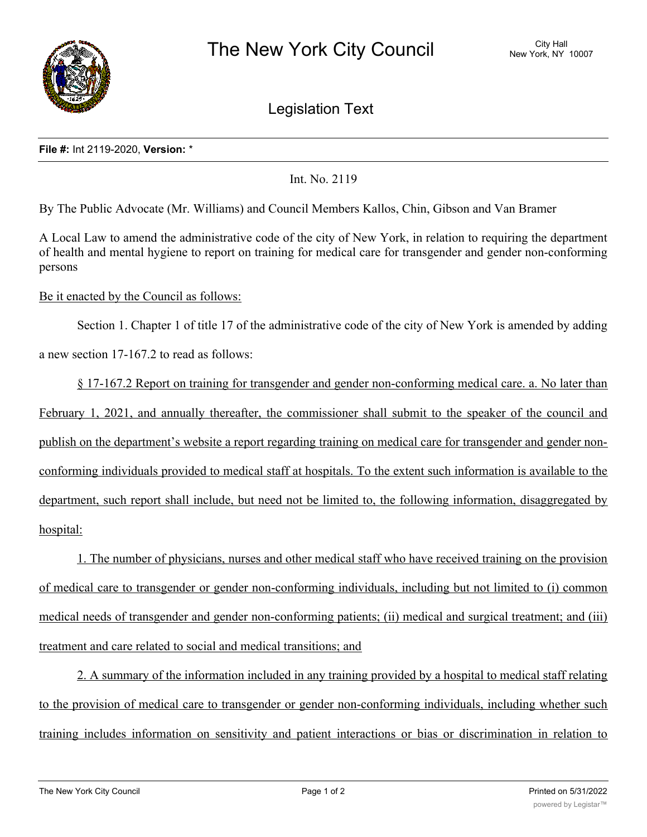

Legislation Text

## **File #:** Int 2119-2020, **Version:** \*

Int. No. 2119

By The Public Advocate (Mr. Williams) and Council Members Kallos, Chin, Gibson and Van Bramer

A Local Law to amend the administrative code of the city of New York, in relation to requiring the department of health and mental hygiene to report on training for medical care for transgender and gender non-conforming persons

Be it enacted by the Council as follows:

Section 1. Chapter 1 of title 17 of the administrative code of the city of New York is amended by adding a new section 17-167.2 to read as follows:

§ 17-167.2 Report on training for transgender and gender non-conforming medical care. a. No later than February 1, 2021, and annually thereafter, the commissioner shall submit to the speaker of the council and publish on the department's website a report regarding training on medical care for transgender and gender nonconforming individuals provided to medical staff at hospitals. To the extent such information is available to the department, such report shall include, but need not be limited to, the following information, disaggregated by hospital:

1. The number of physicians, nurses and other medical staff who have received training on the provision of medical care to transgender or gender non-conforming individuals, including but not limited to (i) common medical needs of transgender and gender non-conforming patients; (ii) medical and surgical treatment; and (iii) treatment and care related to social and medical transitions; and

2. A summary of the information included in any training provided by a hospital to medical staff relating to the provision of medical care to transgender or gender non-conforming individuals, including whether such training includes information on sensitivity and patient interactions or bias or discrimination in relation to